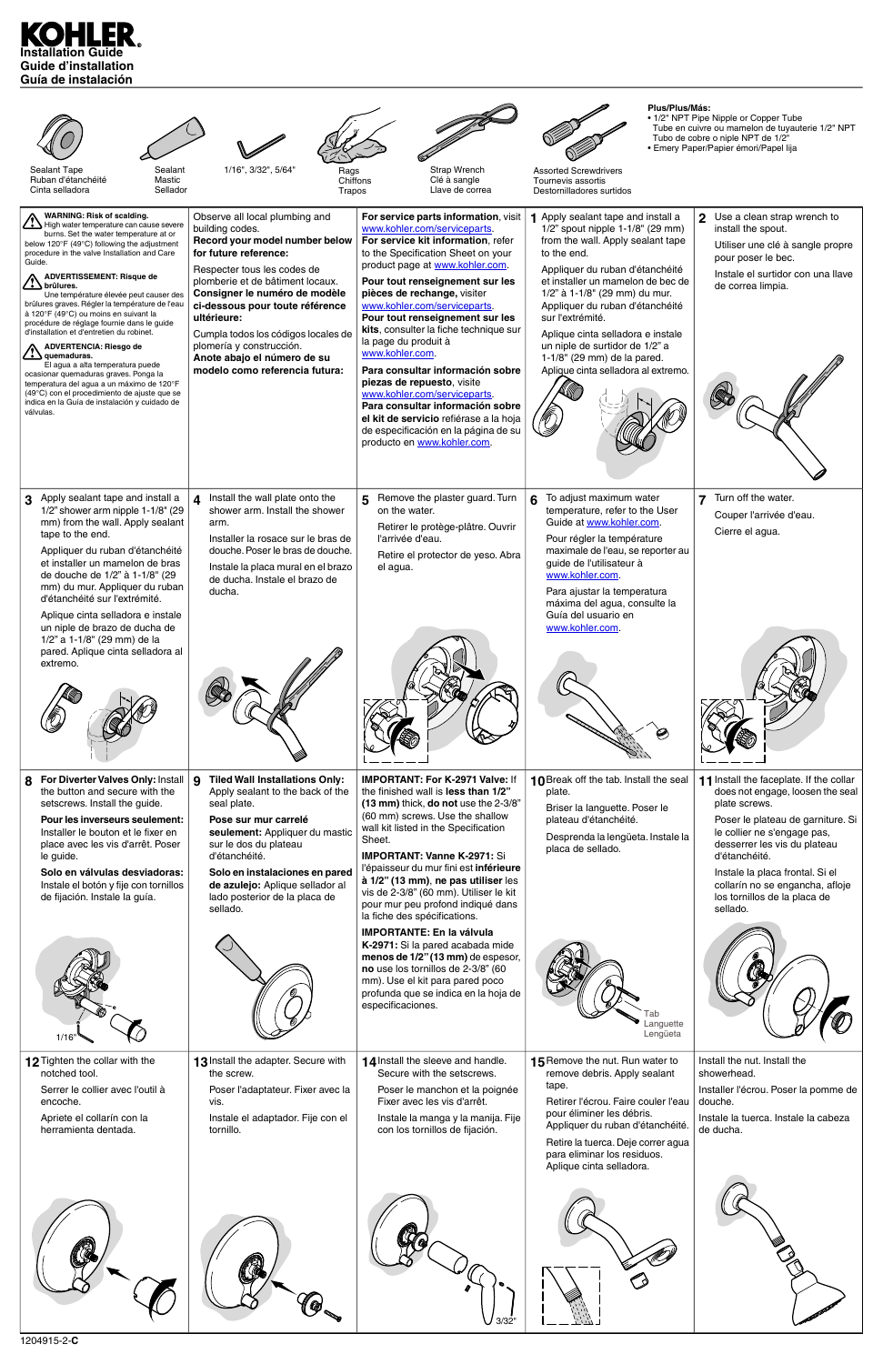# **Installation Guide Guide d'installation Guía de instalación**

| Sealant Tape<br>Sealant<br>Ruban d'étanchéité<br>Mastic<br>Cinta selladora<br>Sellador                                                                                                                                                                                                                                                                                                                                                                                                                                                                                                                                                                                                                                                                                                                                                                      | 1/16", 3/32", 5/64"<br>Rags<br>Chiffons<br>Trapos                                                                                                                                                                                                                                                                                                                                                      | Strap Wrench<br>Clé à sangle<br>Llave de correa                                                                                                                                                                                                                                                                                                                                                                                                                                                                                                                                                                                                                      | Plus/Plus/Más:<br><b>Assorted Screwdrivers</b><br>Tournevis assortis<br>Destornilladores surtidos                                                                                                                                                                                                                                                                                                                                       | • 1/2" NPT Pipe Nipple or Copper Tube<br>Tube en cuivre ou mamelon de tuyauterie 1/2" NPT<br>Tubo de cobre o niple NPT de 1/2"<br>• Emery Paper/Papier émori/Papel lija                                                                                                                                                             |
|-------------------------------------------------------------------------------------------------------------------------------------------------------------------------------------------------------------------------------------------------------------------------------------------------------------------------------------------------------------------------------------------------------------------------------------------------------------------------------------------------------------------------------------------------------------------------------------------------------------------------------------------------------------------------------------------------------------------------------------------------------------------------------------------------------------------------------------------------------------|--------------------------------------------------------------------------------------------------------------------------------------------------------------------------------------------------------------------------------------------------------------------------------------------------------------------------------------------------------------------------------------------------------|----------------------------------------------------------------------------------------------------------------------------------------------------------------------------------------------------------------------------------------------------------------------------------------------------------------------------------------------------------------------------------------------------------------------------------------------------------------------------------------------------------------------------------------------------------------------------------------------------------------------------------------------------------------------|-----------------------------------------------------------------------------------------------------------------------------------------------------------------------------------------------------------------------------------------------------------------------------------------------------------------------------------------------------------------------------------------------------------------------------------------|-------------------------------------------------------------------------------------------------------------------------------------------------------------------------------------------------------------------------------------------------------------------------------------------------------------------------------------|
| <b>WARNING: Risk of scalding.</b><br>$\sum$ High water temperature can cause severe<br>burns. Set the water temperature at or<br>below $120^{\circ}F(49^{\circ}C)$ following the adjustment<br>procedure in the valve Installation and Care<br>Guide.<br><b>ADVERTISSEMENT: Risque de</b><br>$\rightarrow$ brûlures.<br>Une température élevée peut causer des<br>brûlures graves. Régler la température de l'eau<br>à 120°F (49°C) ou moins en suivant la<br>procédure de réglage fournie dans le guide<br>d'installation et d'entretien du robinet.<br><b>ADVERTENCIA: Riesgo de</b><br>$\frac{1}{2}$ quemaduras.<br>El agua a alta temperatura puede<br>ocasionar quemaduras graves. Ponga la<br>temperatura del agua a un máximo de 120°F<br>(49°C) con el procedimiento de ajuste que se<br>indica en la Guía de instalación y cuidado de<br>válvulas. | Observe all local plumbing and<br>building codes.<br>Record your model number below<br>for future reference:<br>Respecter tous les codes de<br>plomberie et de bâtiment locaux.<br>Consigner le numéro de modèle<br>ci-dessous pour toute référence<br>ultérieure:<br>Cumpla todos los códigos locales de<br>plomería y construcción.<br>Anote abajo el número de su<br>modelo como referencia futura: | For service parts information, visit<br>www.kohler.com/serviceparts.<br>For service kit information, refer<br>to the Specification Sheet on your<br>product page at www.kohler.com.<br>Pour tout renseignement sur les<br>pièces de rechange, visiter<br>www.kohler.com/serviceparts.<br>Pour tout renseignement sur les<br>kits, consulter la fiche technique sur<br>la page du produit à<br>www.kohler.com.<br>Para consultar información sobre<br>piezas de repuesto, visite<br>www.kohler.com/serviceparts.<br>Para consultar información sobre<br>el kit de servicio refiérase a la hoja<br>de especificación en la página de su<br>producto en www.kohler.com. | 1 Apply sealant tape and install a<br>1/2" spout nipple 1-1/8" (29 mm)<br>from the wall. Apply sealant tape<br>to the end.<br>Appliquer du ruban d'étanchéité<br>et installer un mamelon de bec de<br>1/2" à 1-1/8" (29 mm) du mur.<br>Appliquer du ruban d'étanchéité<br>sur l'extrémité.<br>Aplique cinta selladora e instale<br>un niple de surtidor de 1/2" a<br>1-1/8" (29 mm) de la pared.<br>Aplique cinta selladora al extremo. | Use a clean strap wrench to<br>install the spout.<br>Utiliser une clé à sangle propre<br>pour poser le bec.<br>Instale el surtidor con una llave<br>de correa limpia.                                                                                                                                                               |
| Apply sealant tape and install a<br>1/2" shower arm nipple 1-1/8" (29<br>mm) from the wall. Apply sealant<br>tape to the end.<br>Appliquer du ruban d'étanchéité<br>et installer un mamelon de bras<br>de douche de 1/2" à 1-1/8" (29<br>mm) du mur. Appliquer du ruban<br>d'étanchéité sur l'extrémité.<br>Aplique cinta selladora e instale<br>un niple de brazo de ducha de<br>1/2" a 1-1/8" (29 mm) de la                                                                                                                                                                                                                                                                                                                                                                                                                                               | 4<br>Install the wall plate onto the<br>shower arm. Install the shower<br>arm.<br>Installer la rosace sur le bras de<br>douche. Poser le bras de douche.<br>Instale la placa mural en el brazo<br>de ducha. Instale el brazo de<br>ducha.                                                                                                                                                              | Remove the plaster guard. Turn<br>5.<br>on the water.<br>Retirer le protège-plâtre. Ouvrir<br>l'arrivée d'eau.<br>Retire el protector de yeso. Abra<br>el agua.                                                                                                                                                                                                                                                                                                                                                                                                                                                                                                      | To adjust maximum water<br>6<br>temperature, refer to the User<br>Guide at www.kohler.com.<br>Pour régler la température<br>maximale de l'eau, se reporter au<br>guide de l'utilisateur à<br>www.kohler.com.<br>Para ajustar la temperatura<br>máxima del agua, consulte la<br>Guía del usuario en<br>www.kohler.com.                                                                                                                   | Turn off the water.<br>$\overline{7}$<br>Couper l'arrivée d'eau.<br>Cierre el agua.                                                                                                                                                                                                                                                 |
| pared. Aplique cinta selladora al<br>extremo.                                                                                                                                                                                                                                                                                                                                                                                                                                                                                                                                                                                                                                                                                                                                                                                                               |                                                                                                                                                                                                                                                                                                                                                                                                        |                                                                                                                                                                                                                                                                                                                                                                                                                                                                                                                                                                                                                                                                      |                                                                                                                                                                                                                                                                                                                                                                                                                                         |                                                                                                                                                                                                                                                                                                                                     |
| For Diverter Valves Only: Install<br>8<br>the button and secure with the<br>setscrews. Install the guide.<br><b>Pour les inverseurs seulement:</b><br>Installer le bouton et le fixer en<br>place avec les vis d'arrêt. Poser<br>le guide.<br>Solo en válvulas desviadoras:<br>Instale el botón y fije con tornillos<br>de fijación. Instale la guía.                                                                                                                                                                                                                                                                                                                                                                                                                                                                                                       | <b>Tiled Wall Installations Only:</b><br>$\mathbf{Q}$<br>Apply sealant to the back of the<br>seal plate.<br>Pose sur mur carrelé<br>seulement: Appliquer du mastic<br>sur le dos du plateau<br>d'étanchéité.<br>Solo en instalaciones en pared<br>de azulejo: Aplique sellador al<br>lado posterior de la placa de<br>sellado.                                                                         | <b>IMPORTANT: For K-2971 Valve: If</b><br>the finished wall is less than 1/2"<br>(13 mm) thick, do not use the 2-3/8"<br>(60 mm) screws. Use the shallow<br>wall kit listed in the Specification<br>Sheet.<br><b>IMPORTANT: Vanne K-2971: Si</b><br>l'épaisseur du mur fini est inférieure<br>à 1/2" (13 mm), ne pas utiliser les<br>vis de 2-3/8" (60 mm). Utiliser le kit<br>pour mur peu profond indiqué dans<br>la fiche des spécifications.                                                                                                                                                                                                                     | 10 Break off the tab. Install the seal<br>plate.<br>Briser la languette. Poser le<br>plateau d'étanchéité.<br>Desprenda la lengüeta. Instale la<br>placa de sellado.                                                                                                                                                                                                                                                                    | 11 Install the faceplate. If the collar<br>does not engage, loosen the seal<br>plate screws.<br>Poser le plateau de garniture. Si<br>le collier ne s'engage pas,<br>desserrer les vis du plateau<br>d'étanchéité.<br>Instale la placa frontal. Si el<br>collarín no se engancha, afloje<br>los tornillos de la placa de<br>sellado. |
| 1/16                                                                                                                                                                                                                                                                                                                                                                                                                                                                                                                                                                                                                                                                                                                                                                                                                                                        |                                                                                                                                                                                                                                                                                                                                                                                                        | <b>IMPORTANTE: En la válvula</b><br>K-2971: Si la pared acabada mide<br>menos de 1/2" (13 mm) de espesor,<br>no use los tornillos de 2-3/8" (60<br>mm). Use el kit para pared poco<br>profunda que se indica en la hoja de<br>especificaciones.                                                                                                                                                                                                                                                                                                                                                                                                                      | Languette<br>Lengüeta                                                                                                                                                                                                                                                                                                                                                                                                                   |                                                                                                                                                                                                                                                                                                                                     |
| 12 Tighten the collar with the<br>notched tool.<br>Serrer le collier avec l'outil à<br>encoche.<br>Apriete el collarín con la<br>herramienta dentada.                                                                                                                                                                                                                                                                                                                                                                                                                                                                                                                                                                                                                                                                                                       | 13 Install the adapter. Secure with<br>the screw.<br>Poser l'adaptateur. Fixer avec la<br>vis.<br>Instale el adaptador. Fije con el<br>tornillo.                                                                                                                                                                                                                                                       | 14 Install the sleeve and handle.<br>Secure with the setscrews.<br>Poser le manchon et la poignée<br>Fixer avec les vis d'arrêt.<br>Instale la manga y la manija. Fije<br>con los tornillos de fijación.                                                                                                                                                                                                                                                                                                                                                                                                                                                             | 15 Remove the nut. Run water to<br>remove debris. Apply sealant<br>tape.<br>Retirer l'écrou. Faire couler l'eau<br>pour éliminer les débris.<br>Appliquer du ruban d'étanchéité.<br>Retire la tuerca. Deje correr agua<br>para eliminar los residuos.<br>Aplique cinta selladora.                                                                                                                                                       | Install the nut. Install the<br>showerhead.<br>Installer l'écrou. Poser la pomme de<br>douche.<br>Instale la tuerca. Instale la cabeza<br>de ducha.                                                                                                                                                                                 |
|                                                                                                                                                                                                                                                                                                                                                                                                                                                                                                                                                                                                                                                                                                                                                                                                                                                             | (C)                                                                                                                                                                                                                                                                                                                                                                                                    | 3/32"                                                                                                                                                                                                                                                                                                                                                                                                                                                                                                                                                                                                                                                                |                                                                                                                                                                                                                                                                                                                                                                                                                                         |                                                                                                                                                                                                                                                                                                                                     |